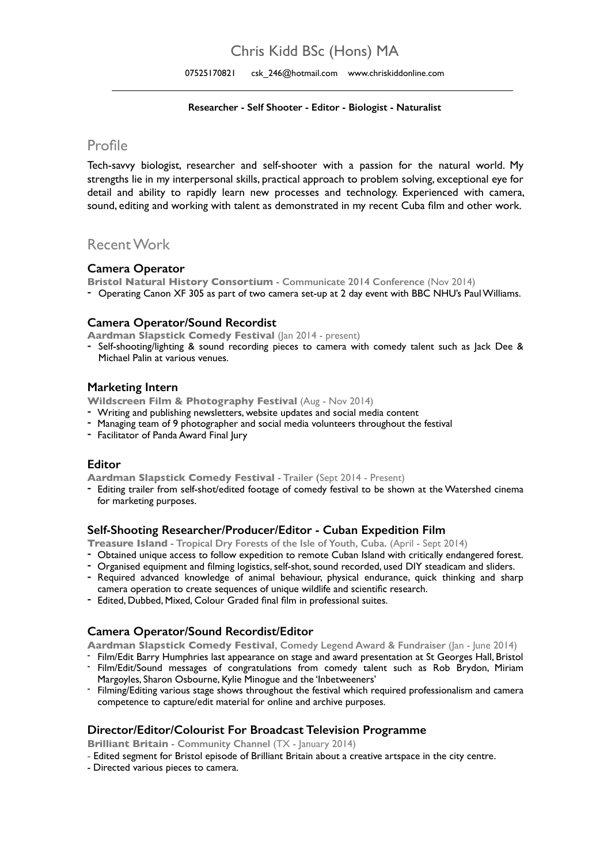# Chris Kidd BSc (Hons) MA

07525170821 csk 246@hotmail.com www.chriskiddonline.com

#### **Researcher - Self Shooter - Editor - Biologist - Naturalist**

### Profile

Tech-savvy biologist, researcher and self-shooter with a passion for the natural world. My strengths lie in my interpersonal skills, practical approach to problem solving, exceptional eye for detail and ability to rapidly learn new processes and technology. Experienced with camera, sound, editing and working with talent as demonstrated in my recent Cuba film and other work.

## Recent Work

#### **Camera Operator**

**Bristol Natural History Consortium - Communicate 2014 Conference** (Nov 2014)

- Operating Canon XF 305 as part of two camera set-up at 2 day event with BBC NHU's Paul Williams.

#### **Camera Operator/Sound Recordist**

**Aardman Slapstick Comedy Festival (Jan 2014 - present)** 

- Self-shooting/lighting & sound recording pieces to camera with comedy talent such as Jack Dee & Michael Palin at various venues.

#### **Marketing Intern**

**Wildscreen Film & Photography Festival** (Aug - Nov 2014)

- Writing and publishing newsletters, website updates and social media content
- Managing team of 9 photographer and social media volunteers throughout the festival
- Facilitator of Panda Award Final Jury

#### **Editor**

**Aardman Slapstick Comedy Festival - Trailer (**Sept 2014 - Present)

- Editing trailer from self-shot/edited footage of comedy festival to be shown at the Watershed cinema for marketing purposes.

#### **Self-Shooting Researcher/Producer/Editor - Cuban Expedition Film**

**Treasure Island - Tropical Dry Forests of the Isle of Youth, Cuba.** (April - Sept 2014)

- Obtained unique access to follow expedition to remote Cuban Island with critically endangered forest.
- Organised equipment and filming logistics, self-shot, sound recorded, used DIY steadicam and sliders.
- Required advanced knowledge of animal behaviour, physical endurance, quick thinking and sharp camera operation to create sequences of unique wildlife and scientific research.
- Edited, Dubbed, Mixed, Colour Graded final film in professional suites.

#### **Camera Operator/Sound Recordist/Editor**

- **Aardman Slapstick Comedy Festival**, Comedy Legend Award & Fundraiser (Jan June 2014)<br>• Film/Edit Barry Humphries last appearance on stage and award presentation at St Georges Hall, Bristol<br>• Film/Edit/Sound messages of
- Margoyles, Sharon Osbourne, Kylie Minogue and the 'Inbetweeners'<br>- Filming/Editing various stage shows throughout the festival which required professionalism and camera competence to capture/edit material for online and archive purposes.

#### **Director/Editor/Colourist For Broadcast Television Programme**

**Brilliant Britain - Community Channel (TX - January 2014)** 

- Edited segment for Bristol episode of Brilliant Britain about a creative artspace in the city centre.
- Directed various pieces to camera.